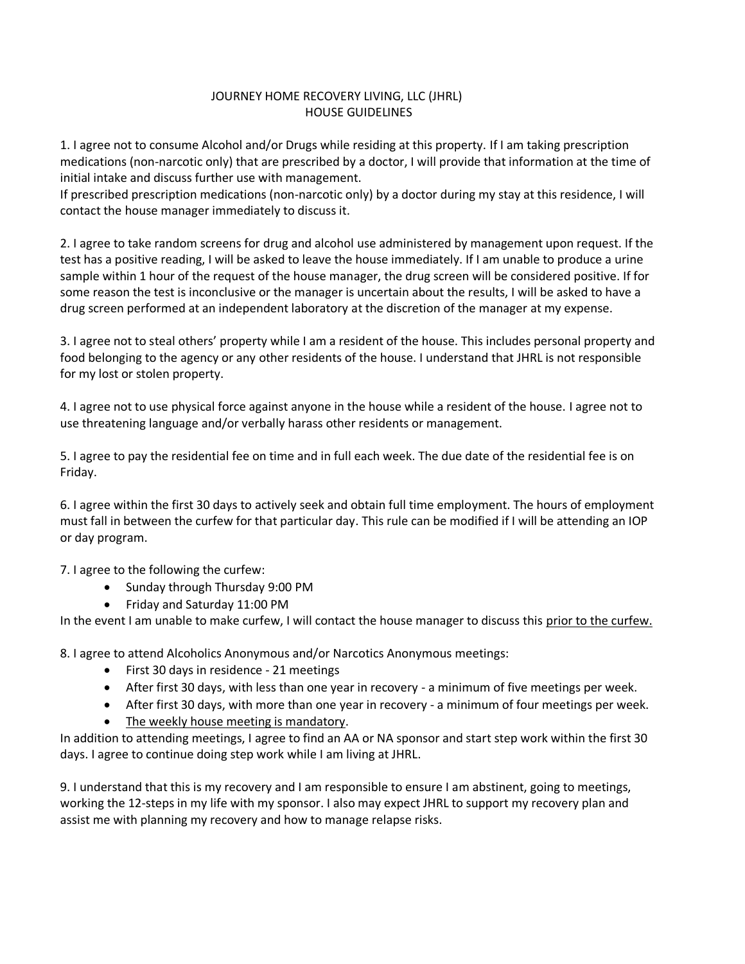## JOURNEY HOME RECOVERY LIVING, LLC (JHRL) HOUSE GUIDELINES

1. I agree not to consume Alcohol and/or Drugs while residing at this property. If I am taking prescription medications (non-narcotic only) that are prescribed by a doctor, I will provide that information at the time of initial intake and discuss further use with management.

If prescribed prescription medications (non-narcotic only) by a doctor during my stay at this residence, I will contact the house manager immediately to discuss it.

2. I agree to take random screens for drug and alcohol use administered by management upon request. If the test has a positive reading, I will be asked to leave the house immediately. If I am unable to produce a urine sample within 1 hour of the request of the house manager, the drug screen will be considered positive. If for some reason the test is inconclusive or the manager is uncertain about the results, I will be asked to have a drug screen performed at an independent laboratory at the discretion of the manager at my expense.

3. I agree not to steal others' property while I am a resident of the house. This includes personal property and food belonging to the agency or any other residents of the house. I understand that JHRL is not responsible for my lost or stolen property.

4. I agree not to use physical force against anyone in the house while a resident of the house. I agree not to use threatening language and/or verbally harass other residents or management.

5. I agree to pay the residential fee on time and in full each week. The due date of the residential fee is on Friday.

6. I agree within the first 30 days to actively seek and obtain full time employment. The hours of employment must fall in between the curfew for that particular day. This rule can be modified if I will be attending an IOP or day program.

7. I agree to the following the curfew:

- Sunday through Thursday 9:00 PM
- Friday and Saturday 11:00 PM

In the event I am unable to make curfew, I will contact the house manager to discuss this prior to the curfew.

8. I agree to attend Alcoholics Anonymous and/or Narcotics Anonymous meetings:

- First 30 days in residence 21 meetings
- After first 30 days, with less than one year in recovery a minimum of five meetings per week.
- After first 30 days, with more than one year in recovery a minimum of four meetings per week.
- The weekly house meeting is mandatory.

In addition to attending meetings, I agree to find an AA or NA sponsor and start step work within the first 30 days. I agree to continue doing step work while I am living at JHRL.

9. I understand that this is my recovery and I am responsible to ensure I am abstinent, going to meetings, working the 12-steps in my life with my sponsor. I also may expect JHRL to support my recovery plan and assist me with planning my recovery and how to manage relapse risks.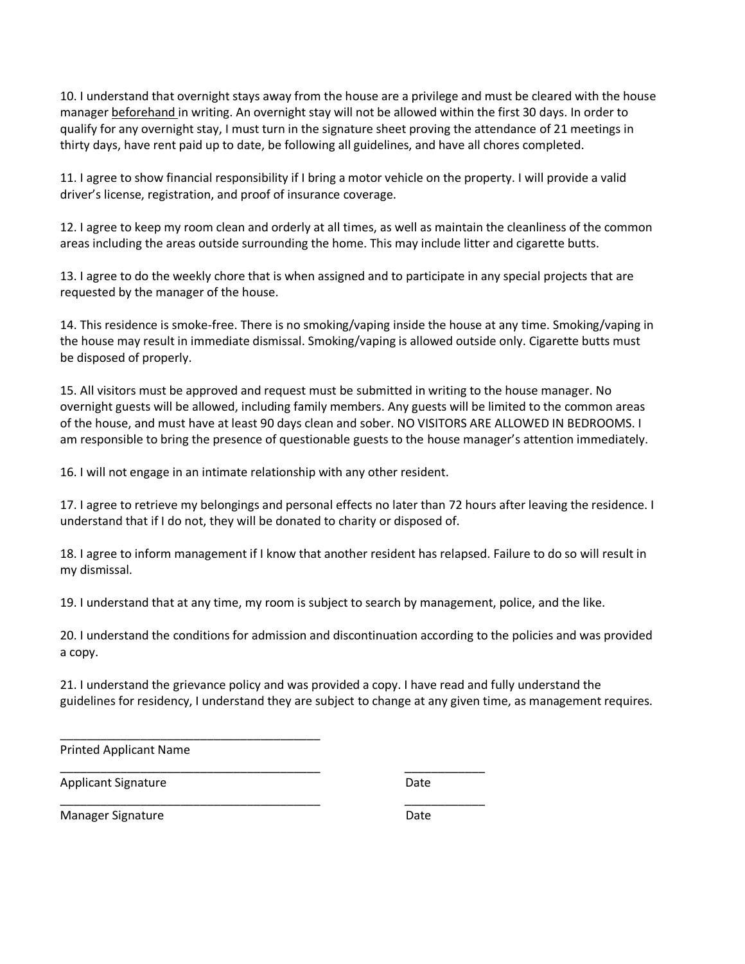10. I understand that overnight stays away from the house are a privilege and must be cleared with the house manager beforehand in writing. An overnight stay will not be allowed within the first 30 days. In order to qualify for any overnight stay, I must turn in the signature sheet proving the attendance of 21 meetings in thirty days, have rent paid up to date, be following all guidelines, and have all chores completed.

11. I agree to show financial responsibility if I bring a motor vehicle on the property. I will provide a valid driver's license, registration, and proof of insurance coverage.

12. I agree to keep my room clean and orderly at all times, as well as maintain the cleanliness of the common areas including the areas outside surrounding the home. This may include litter and cigarette butts.

13. I agree to do the weekly chore that is when assigned and to participate in any special projects that are requested by the manager of the house.

14. This residence is smoke-free. There is no smoking/vaping inside the house at any time. Smoking/vaping in the house may result in immediate dismissal. Smoking/vaping is allowed outside only. Cigarette butts must be disposed of properly.

15. All visitors must be approved and request must be submitted in writing to the house manager. No overnight guests will be allowed, including family members. Any guests will be limited to the common areas of the house, and must have at least 90 days clean and sober. NO VISITORS ARE ALLOWED IN BEDROOMS. I am responsible to bring the presence of questionable guests to the house manager's attention immediately.

16. I will not engage in an intimate relationship with any other resident.

\_\_\_\_\_\_\_\_\_\_\_\_\_\_\_\_\_\_\_\_\_\_\_\_\_\_\_\_\_\_\_\_\_\_\_\_\_\_\_ \_\_\_\_\_\_\_\_\_\_\_\_

\_\_\_\_\_\_\_\_\_\_\_\_\_\_\_\_\_\_\_\_\_\_\_\_\_\_\_\_\_\_\_\_\_\_\_\_\_\_\_ \_\_\_\_\_\_\_\_\_\_\_\_

17. I agree to retrieve my belongings and personal effects no later than 72 hours after leaving the residence. I understand that if I do not, they will be donated to charity or disposed of.

18. I agree to inform management if I know that another resident has relapsed. Failure to do so will result in my dismissal.

19. I understand that at any time, my room is subject to search by management, police, and the like.

20. I understand the conditions for admission and discontinuation according to the policies and was provided a copy.

21. I understand the grievance policy and was provided a copy. I have read and fully understand the guidelines for residency, I understand they are subject to change at any given time, as management requires.

Printed Applicant Name

\_\_\_\_\_\_\_\_\_\_\_\_\_\_\_\_\_\_\_\_\_\_\_\_\_\_\_\_\_\_\_\_\_\_\_\_\_\_\_

Applicant Signature Date

Manager Signature **Date**